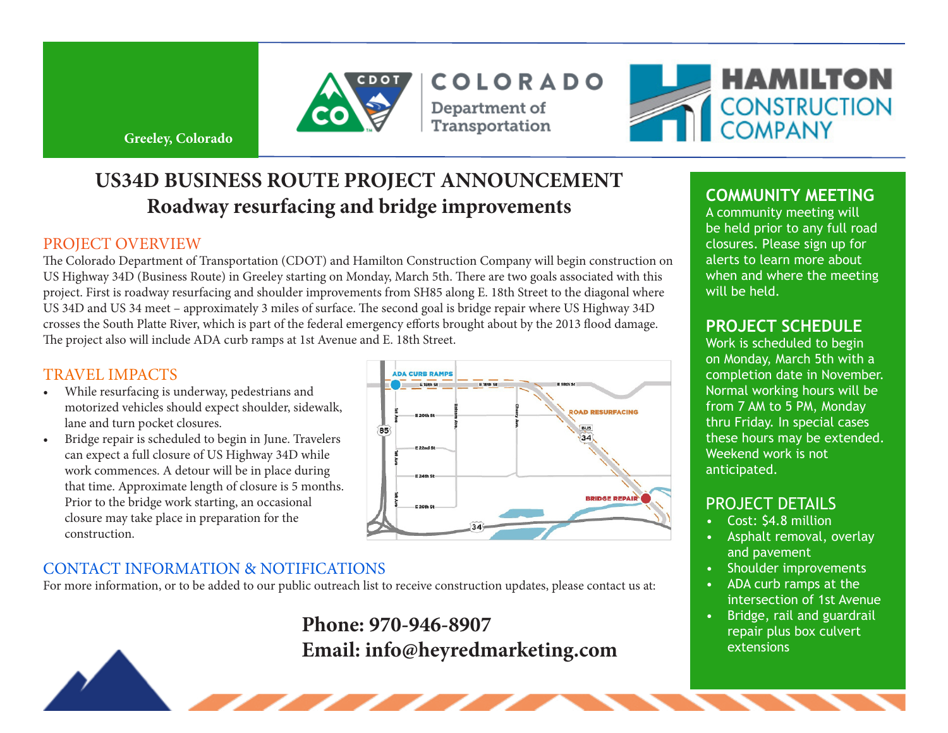

COLORADO Department of Transportation



**Greeley, Colorado** 

# **US34D BUSINESS ROUTE PROJECT ANNOUNCEMENT Roadway resurfacing and bridge improvements**

#### PROJECT OVERVIEW

The Colorado Department of Transportation (CDOT) and Hamilton Construction Company will begin construction on US Highway 34D (Business Route) in Greeley starting on Monday, March 5th. There are two goals associated with this project. First is roadway resurfacing and shoulder improvements from SH85 along E. 18th Street to the diagonal where US 34D and US 34 meet – approximately 3 miles of surface. The second goal is bridge repair where US Highway 34D crosses the South Platte River, which is part of the federal emergency efforts brought about by the 2013 flood damage. The project also will include ADA curb ramps at 1st Avenue and E. 18th Street.

#### TRAVEL IMPACTS

- While resurfacing is underway, pedestrians and motorized vehicles should expect shoulder, sidewalk, lane and turn pocket closures.
- Bridge repair is scheduled to begin in June. Travelers can expect a full closure of US Highway 34D while work commences. A detour will be in place during that time. Approximate length of closure is 5 months. Prior to the bridge work starting, an occasional closure may take place in preparation for the construction.



### CONTACT INFORMATION & NOTIFICATIONS

For more information, or to be added to our public outreach list to receive construction updates, please contact us at:

# **Phone: 970-946-8907 Email: info@heyredmarketing.com**

## **COMMUNITY MEETING**

A community meeting will be held prior to any full road closures. Please sign up for alerts to learn more about when and where the meeting will be held.

### **PROJECT SCHEDULE**

Work is scheduled to begin on Monday, March 5th with a completion date in November. Normal working hours will be from 7 AM to 5 PM, Monday thru Friday. In special cases these hours may be extended. Weekend work is not anticipated.

## PROJECT DETAILS

- Cost: \$4.8 million
- Asphalt removal, overlay and pavement
- • Shoulder improvements
- • ADA curb ramps at the intersection of 1st Avenue
- Bridge, rail and guardrail repair plus box culvert extensions